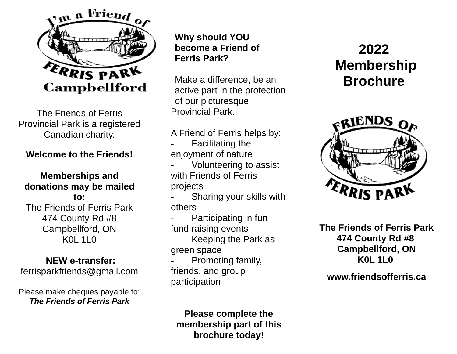

The Friends of Ferris Provincial Park is a registered Canadian charity.

# **Welcome to the Friends!**

# **Memberships and donations may be mailed**

**to:** The Friends of Ferris Park 474 County Rd #8 Campbellford, ON  $K<sub>0</sub>$  11  $<sub>0</sub>$ </sub>

# **NEW e-transfer:**

[ferrisparkfriends@gmail.com](mailto:ferrisparkfriends@gmail.com)

Please make cheques payable to: *The Friends of Ferris Park*

**Why should YOU become a Friend of Ferris Park?**

Make a difference, be an active part in the protection of our picturesque Provincial Park.

## A Friend of Ferris helps by:

- **Facilitating the** enjoyment of nature
- Volunteering to assist with Friends of Ferris projects

Sharing your skills with others

- Participating in fun fund raising events
- Keeping the Park as green space
- Promoting family, friends, and group participation

**Please complete the membership part of this brochure today!**

# **2022 Membership Brochure**



 **The Friends of Ferris Park 474 County Rd #8 Campbellford, ON K0L 1L0**

# **[www.friendsofferris.ca](http://www.friendsofferris.ca/)**